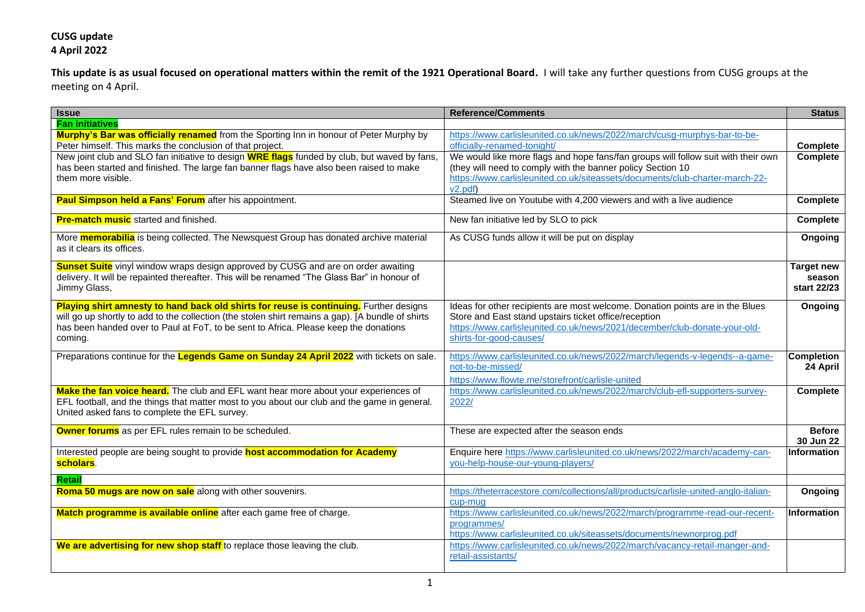**This update is as usual focused on operational matters within the remit of the 1921 Operational Board.** I will take any further questions from CUSG groups at the meeting on 4 April.

| <b>Issue</b>                                                                                                                                                                                                                                                                                   | <b>Reference/Comments</b>                                                                                                                                                                                                                      | <b>Status</b>                              |
|------------------------------------------------------------------------------------------------------------------------------------------------------------------------------------------------------------------------------------------------------------------------------------------------|------------------------------------------------------------------------------------------------------------------------------------------------------------------------------------------------------------------------------------------------|--------------------------------------------|
| <b>Fan initiatives</b>                                                                                                                                                                                                                                                                         |                                                                                                                                                                                                                                                |                                            |
| Murphy's Bar was officially renamed from the Sporting Inn in honour of Peter Murphy by<br>Peter himself. This marks the conclusion of that project.                                                                                                                                            | https://www.carlisleunited.co.uk/news/2022/march/cusg-murphys-bar-to-be-<br>officially-renamed-tonight/                                                                                                                                        | Complete                                   |
| New joint club and SLO fan initiative to design <b>WRE flags</b> funded by club, but waved by fans,<br>has been started and finished. The large fan banner flags have also been raised to make<br>them more visible.                                                                           | We would like more flags and hope fans/fan groups will follow suit with their own<br>(they will need to comply with the banner policy Section 10<br>https://www.carlisleunited.co.uk/siteassets/documents/club-charter-march-22-<br>v2.pdf     | <b>Complete</b>                            |
| Paul Simpson held a Fans' Forum after his appointment.                                                                                                                                                                                                                                         | Steamed live on Youtube with 4,200 viewers and with a live audience                                                                                                                                                                            | Complete                                   |
| <b>Pre-match music</b> started and finished.                                                                                                                                                                                                                                                   | New fan initiative led by SLO to pick                                                                                                                                                                                                          | <b>Complete</b>                            |
| More <b>memorabilia</b> is being collected. The Newsquest Group has donated archive material<br>as it clears its offices.                                                                                                                                                                      | As CUSG funds allow it will be put on display                                                                                                                                                                                                  | Ongoing                                    |
| Sunset Suite vinyl window wraps design approved by CUSG and are on order awaiting<br>delivery. It will be repainted thereafter. This will be renamed "The Glass Bar" in honour of<br>Jimmy Glass,                                                                                              |                                                                                                                                                                                                                                                | <b>Target new</b><br>season<br>start 22/23 |
| Playing shirt amnesty to hand back old shirts for reuse is continuing. Further designs<br>will go up shortly to add to the collection (the stolen shirt remains a gap). [A bundle of shirts<br>has been handed over to Paul at FoT, to be sent to Africa. Please keep the donations<br>coming. | Ideas for other recipients are most welcome. Donation points are in the Blues<br>Store and East stand upstairs ticket office/reception<br>https://www.carlisleunited.co.uk/news/2021/december/club-donate-your-old-<br>shirts-for-good-causes/ | Ongoing                                    |
| Preparations continue for the Legends Game on Sunday 24 April 2022 with tickets on sale.                                                                                                                                                                                                       | https://www.carlisleunited.co.uk/news/2022/march/legends-v-legends--a-game-<br>not-to-be-missed/<br>https://www.flowte.me/storefront/carlisle-united                                                                                           | <b>Completion</b><br>24 April              |
| Make the fan voice heard. The club and EFL want hear more about your experiences of<br>EFL football, and the things that matter most to you about our club and the game in general.<br>United asked fans to complete the EFL survey.                                                           | https://www.carlisleunited.co.uk/news/2022/march/club-efl-supporters-survey-<br>2022/                                                                                                                                                          | <b>Complete</b>                            |
| Owner forums as per EFL rules remain to be scheduled.                                                                                                                                                                                                                                          | These are expected after the season ends                                                                                                                                                                                                       | <b>Before</b><br>30 Jun 22                 |
| Interested people are being sought to provide <b>host accommodation for Academy</b><br>scholars.                                                                                                                                                                                               | Enquire here https://www.carlisleunited.co.uk/news/2022/march/academy-can-<br>you-help-house-our-young-players/                                                                                                                                | <b>Information</b>                         |
| Retail                                                                                                                                                                                                                                                                                         |                                                                                                                                                                                                                                                |                                            |
| Roma 50 mugs are now on sale along with other souvenirs.                                                                                                                                                                                                                                       | https://theterracestore.com/collections/all/products/carlisle-united-anglo-italian-<br>cup-mug                                                                                                                                                 | Ongoing                                    |
| Match programme is available online after each game free of charge.                                                                                                                                                                                                                            | https://www.carlisleunited.co.uk/news/2022/march/programme-read-our-recent-<br>programmes/<br>https://www.carlisleunited.co.uk/siteassets/documents/newnorprog.pdf                                                                             | Information                                |
| We are advertising for new shop staff to replace those leaving the club.                                                                                                                                                                                                                       | https://www.carlisleunited.co.uk/news/2022/march/vacancy-retail-manger-and-<br>retail-assistants/                                                                                                                                              |                                            |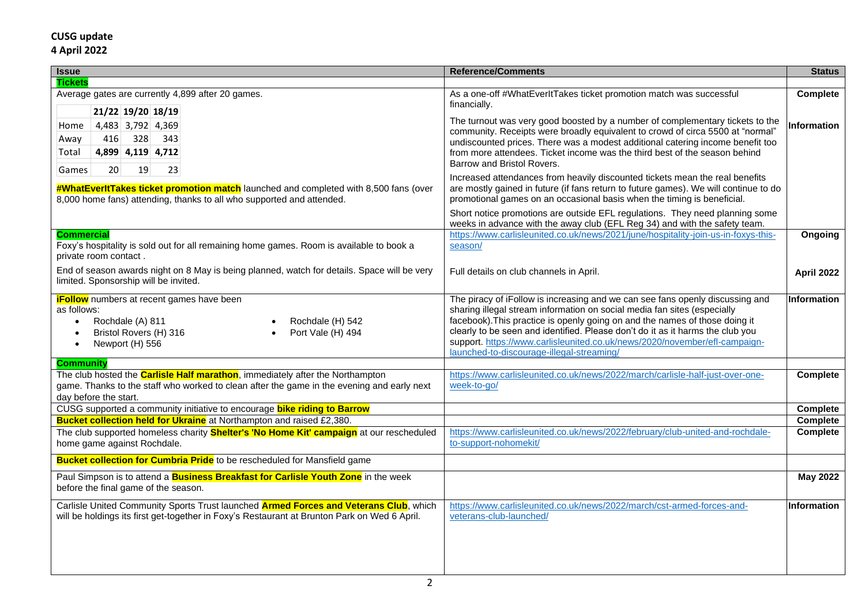| <b>Issue</b>                                                                                                                                                                                                     | <b>Reference/Comments</b>                                                                                                                                                                                                                                                                                                                                                                                                                             | <b>Status</b>      |
|------------------------------------------------------------------------------------------------------------------------------------------------------------------------------------------------------------------|-------------------------------------------------------------------------------------------------------------------------------------------------------------------------------------------------------------------------------------------------------------------------------------------------------------------------------------------------------------------------------------------------------------------------------------------------------|--------------------|
| <b>Tickets</b>                                                                                                                                                                                                   |                                                                                                                                                                                                                                                                                                                                                                                                                                                       |                    |
| Average gates are currently 4,899 after 20 games.<br>21/22 19/20 18/19                                                                                                                                           | As a one-off #WhatEverItTakes ticket promotion match was successful<br>financially.                                                                                                                                                                                                                                                                                                                                                                   | Complete           |
| 4,483 3,792 4,369<br>Home<br>416<br>328<br>343<br>Away<br>4,899 4,119 4,712<br>Total<br>20<br>19<br>23<br>Games                                                                                                  | The turnout was very good boosted by a number of complementary tickets to the<br>community. Receipts were broadly equivalent to crowd of circa 5500 at "normal"<br>undiscounted prices. There was a modest additional catering income benefit too<br>from more attendees. Ticket income was the third best of the season behind<br>Barrow and Bristol Rovers.                                                                                         | <b>Information</b> |
| <b>#WhatEverItTakes ticket promotion match</b> launched and completed with 8,500 fans (over<br>8,000 home fans) attending, thanks to all who supported and attended.                                             | Increased attendances from heavily discounted tickets mean the real benefits<br>are mostly gained in future (if fans return to future games). We will continue to do<br>promotional games on an occasional basis when the timing is beneficial.                                                                                                                                                                                                       |                    |
|                                                                                                                                                                                                                  | Short notice promotions are outside EFL regulations. They need planning some<br>weeks in advance with the away club (EFL Reg 34) and with the safety team.                                                                                                                                                                                                                                                                                            |                    |
| <b>Commercial</b><br>Foxy's hospitality is sold out for all remaining home games. Room is available to book a<br>private room contact.                                                                           | https://www.carlisleunited.co.uk/news/2021/june/hospitality-join-us-in-foxys-this-<br>season/                                                                                                                                                                                                                                                                                                                                                         | Ongoing            |
| End of season awards night on 8 May is being planned, watch for details. Space will be very<br>limited. Sponsorship will be invited.                                                                             | Full details on club channels in April.                                                                                                                                                                                                                                                                                                                                                                                                               | April 2022         |
| <b>iFollow</b> numbers at recent games have been<br>as follows:<br>Rochdale (A) 811<br>Rochdale (H) 542<br>$\bullet$<br>Bristol Rovers (H) 316<br>Port Vale (H) 494<br>$\bullet$<br>Newport (H) 556<br>$\bullet$ | The piracy of iFollow is increasing and we can see fans openly discussing and<br>sharing illegal stream information on social media fan sites (especially<br>facebook). This practice is openly going on and the names of those doing it<br>clearly to be seen and identified. Please don't do it as it harms the club you<br>support. https://www.carlisleunited.co.uk/news/2020/november/efl-campaign-<br>launched-to-discourage-illegal-streaming/ | <b>Information</b> |
| <b>Community</b>                                                                                                                                                                                                 |                                                                                                                                                                                                                                                                                                                                                                                                                                                       |                    |
| The club hosted the <b>Carlisle Half marathon</b> , immediately after the Northampton<br>game. Thanks to the staff who worked to clean after the game in the evening and early next<br>day before the start.     | https://www.carlisleunited.co.uk/news/2022/march/carlisle-half-just-over-one-<br>week-to-go/                                                                                                                                                                                                                                                                                                                                                          | <b>Complete</b>    |
| CUSG supported a community initiative to encourage bike riding to Barrow                                                                                                                                         |                                                                                                                                                                                                                                                                                                                                                                                                                                                       | Complete           |
| Bucket collection held for Ukraine at Northampton and raised £2,380.                                                                                                                                             |                                                                                                                                                                                                                                                                                                                                                                                                                                                       | Complete           |
| The club supported homeless charity <b>Shelter's 'No Home Kit' campaign</b> at our rescheduled<br>home game against Rochdale.                                                                                    | https://www.carlisleunited.co.uk/news/2022/february/club-united-and-rochdale-<br>to-support-nohomekit/                                                                                                                                                                                                                                                                                                                                                | Complete           |
| <b>Bucket collection for Cumbria Pride</b> to be rescheduled for Mansfield game                                                                                                                                  |                                                                                                                                                                                                                                                                                                                                                                                                                                                       |                    |
| Paul Simpson is to attend a <b>Business Breakfast for Carlisle Youth Zone</b> in the week<br>before the final game of the season.                                                                                |                                                                                                                                                                                                                                                                                                                                                                                                                                                       | <b>May 2022</b>    |
| Carlisle United Community Sports Trust launched <b>Armed Forces and Veterans Club</b> , which<br>will be holdings its first get-together in Foxy's Restaurant at Brunton Park on Wed 6 April.                    | https://www.carlisleunited.co.uk/news/2022/march/cst-armed-forces-and-<br>veterans-club-launched/                                                                                                                                                                                                                                                                                                                                                     | <b>Information</b> |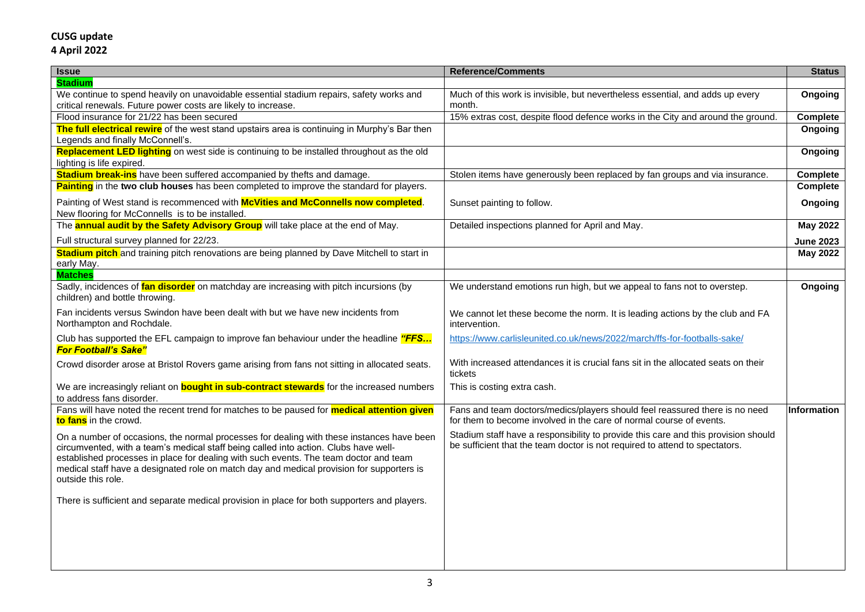| <b>Issue</b>                                                                                                                                                                                                                                                                                                                                                                                  | <b>Reference/Comments</b>                                                                                                                                         | <b>Status</b>      |
|-----------------------------------------------------------------------------------------------------------------------------------------------------------------------------------------------------------------------------------------------------------------------------------------------------------------------------------------------------------------------------------------------|-------------------------------------------------------------------------------------------------------------------------------------------------------------------|--------------------|
| <b>Stadium</b>                                                                                                                                                                                                                                                                                                                                                                                |                                                                                                                                                                   |                    |
| We continue to spend heavily on unavoidable essential stadium repairs, safety works and                                                                                                                                                                                                                                                                                                       | Much of this work is invisible, but nevertheless essential, and adds up every                                                                                     | Ongoing            |
| critical renewals. Future power costs are likely to increase.                                                                                                                                                                                                                                                                                                                                 | month.                                                                                                                                                            |                    |
| Flood insurance for 21/22 has been secured                                                                                                                                                                                                                                                                                                                                                    | 15% extras cost, despite flood defence works in the City and around the ground.                                                                                   | <b>Complete</b>    |
| The full electrical rewire of the west stand upstairs area is continuing in Murphy's Bar then<br>Legends and finally McConnell's.                                                                                                                                                                                                                                                             |                                                                                                                                                                   | Ongoing            |
| Replacement LED lighting on west side is continuing to be installed throughout as the old<br>lighting is life expired.                                                                                                                                                                                                                                                                        |                                                                                                                                                                   | Ongoing            |
| <b>Stadium break-ins</b> have been suffered accompanied by thefts and damage.                                                                                                                                                                                                                                                                                                                 | Stolen items have generously been replaced by fan groups and via insurance.                                                                                       | Complete           |
| Painting in the two club houses has been completed to improve the standard for players.                                                                                                                                                                                                                                                                                                       |                                                                                                                                                                   | <b>Complete</b>    |
| Painting of West stand is recommenced with McVities and McConnells now completed.<br>New flooring for McConnells is to be installed.                                                                                                                                                                                                                                                          | Sunset painting to follow.                                                                                                                                        | Ongoing            |
| The <b>annual audit by the Safety Advisory Group</b> will take place at the end of May.                                                                                                                                                                                                                                                                                                       | Detailed inspections planned for April and May.                                                                                                                   | <b>May 2022</b>    |
| Full structural survey planned for 22/23.                                                                                                                                                                                                                                                                                                                                                     |                                                                                                                                                                   | <b>June 2023</b>   |
| <b>Stadium pitch</b> and training pitch renovations are being planned by Dave Mitchell to start in<br>early May.                                                                                                                                                                                                                                                                              |                                                                                                                                                                   | <b>May 2022</b>    |
| <b>Matches</b>                                                                                                                                                                                                                                                                                                                                                                                |                                                                                                                                                                   |                    |
| Sadly, incidences of fan disorder on matchday are increasing with pitch incursions (by<br>children) and bottle throwing.                                                                                                                                                                                                                                                                      | We understand emotions run high, but we appeal to fans not to overstep.                                                                                           | Ongoing            |
| Fan incidents versus Swindon have been dealt with but we have new incidents from<br>Northampton and Rochdale.                                                                                                                                                                                                                                                                                 | We cannot let these become the norm. It is leading actions by the club and FA<br>intervention.                                                                    |                    |
| Club has supported the EFL campaign to improve fan behaviour under the headline "FFS<br><b>For Football's Sake"</b>                                                                                                                                                                                                                                                                           | https://www.carlisleunited.co.uk/news/2022/march/ffs-for-footballs-sake/                                                                                          |                    |
| Crowd disorder arose at Bristol Rovers game arising from fans not sitting in allocated seats.                                                                                                                                                                                                                                                                                                 | With increased attendances it is crucial fans sit in the allocated seats on their<br>tickets                                                                      |                    |
| We are increasingly reliant on <b>bought in sub-contract stewards</b> for the increased numbers<br>to address fans disorder.                                                                                                                                                                                                                                                                  | This is costing extra cash.                                                                                                                                       |                    |
| Fans will have noted the recent trend for matches to be paused for <b>medical attention given</b><br>to fans in the crowd.                                                                                                                                                                                                                                                                    | Fans and team doctors/medics/players should feel reassured there is no need<br>for them to become involved in the care of normal course of events.                | <b>Information</b> |
| On a number of occasions, the normal processes for dealing with these instances have been<br>circumvented, with a team's medical staff being called into action. Clubs have well-<br>established processes in place for dealing with such events. The team doctor and team<br>medical staff have a designated role on match day and medical provision for supporters is<br>outside this role. | Stadium staff have a responsibility to provide this care and this provision should<br>be sufficient that the team doctor is not required to attend to spectators. |                    |
| There is sufficient and separate medical provision in place for both supporters and players.                                                                                                                                                                                                                                                                                                  |                                                                                                                                                                   |                    |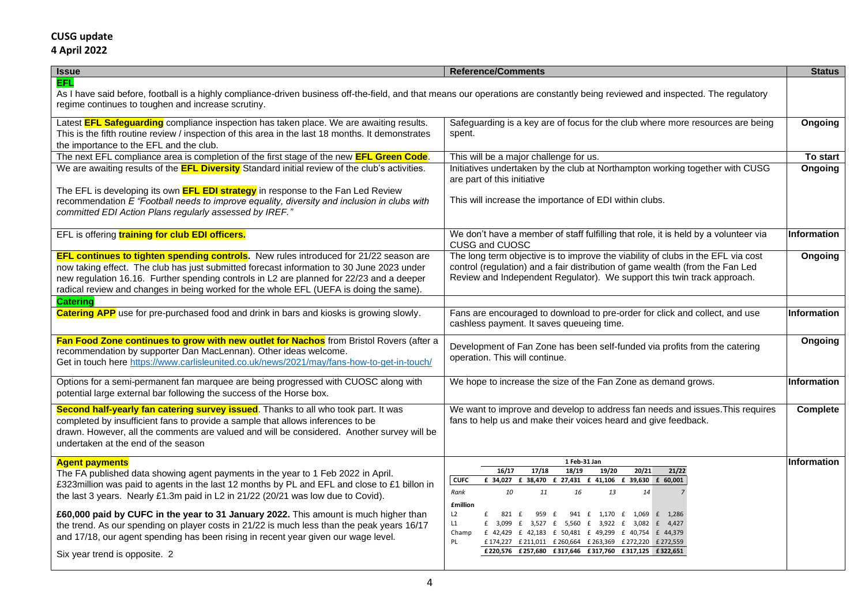| <b>Issue</b>                                                                                                                                                                                                                                                                                                                                                                                                                                                                                                                                                                                               | <b>Reference/Comments</b>                                                                                                                                                                                                                                                                                                                                                                                                                                                                                          | <b>Status</b>      |
|------------------------------------------------------------------------------------------------------------------------------------------------------------------------------------------------------------------------------------------------------------------------------------------------------------------------------------------------------------------------------------------------------------------------------------------------------------------------------------------------------------------------------------------------------------------------------------------------------------|--------------------------------------------------------------------------------------------------------------------------------------------------------------------------------------------------------------------------------------------------------------------------------------------------------------------------------------------------------------------------------------------------------------------------------------------------------------------------------------------------------------------|--------------------|
| EFL.<br>As I have said before, football is a highly compliance-driven business off-the-field, and that means our operations are constantly being reviewed and inspected. The regulatory<br>regime continues to toughen and increase scrutiny.                                                                                                                                                                                                                                                                                                                                                              |                                                                                                                                                                                                                                                                                                                                                                                                                                                                                                                    |                    |
| Latest <b>EFL Safeguarding</b> compliance inspection has taken place. We are awaiting results.<br>This is the fifth routine review / inspection of this area in the last 18 months. It demonstrates<br>the importance to the EFL and the club.                                                                                                                                                                                                                                                                                                                                                             | Safeguarding is a key are of focus for the club where more resources are being<br>spent.                                                                                                                                                                                                                                                                                                                                                                                                                           | Ongoing            |
| The next EFL compliance area is completion of the first stage of the new <b>EFL Green Code</b> .                                                                                                                                                                                                                                                                                                                                                                                                                                                                                                           | This will be a major challenge for us.                                                                                                                                                                                                                                                                                                                                                                                                                                                                             | To start           |
| We are awaiting results of the <b>EFL Diversity</b> Standard initial review of the club's activities.                                                                                                                                                                                                                                                                                                                                                                                                                                                                                                      | Initiatives undertaken by the club at Northampton working together with CUSG<br>are part of this initiative                                                                                                                                                                                                                                                                                                                                                                                                        | Ongoing            |
| The EFL is developing its own <b>EFL EDI strategy</b> in response to the Fan Led Review<br>recommendation E "Football needs to improve equality, diversity and inclusion in clubs with<br>committed EDI Action Plans regularly assessed by IREF."                                                                                                                                                                                                                                                                                                                                                          | This will increase the importance of EDI within clubs.                                                                                                                                                                                                                                                                                                                                                                                                                                                             |                    |
| EFL is offering training for club EDI officers.                                                                                                                                                                                                                                                                                                                                                                                                                                                                                                                                                            | We don't have a member of staff fulfilling that role, it is held by a volunteer via<br>CUSG and CUOSC                                                                                                                                                                                                                                                                                                                                                                                                              | Information        |
| <b>EFL continues to tighten spending controls.</b> New rules introduced for 21/22 season are<br>now taking effect. The club has just submitted forecast information to 30 June 2023 under<br>new regulation 16.16. Further spending controls in L2 are planned for 22/23 and a deeper<br>radical review and changes in being worked for the whole EFL (UEFA is doing the same).                                                                                                                                                                                                                            | The long term objective is to improve the viability of clubs in the EFL via cost<br>control (regulation) and a fair distribution of game wealth (from the Fan Led<br>Review and Independent Regulator). We support this twin track approach.                                                                                                                                                                                                                                                                       | Ongoing            |
| <b>Catering</b>                                                                                                                                                                                                                                                                                                                                                                                                                                                                                                                                                                                            |                                                                                                                                                                                                                                                                                                                                                                                                                                                                                                                    |                    |
| <b>Catering APP</b> use for pre-purchased food and drink in bars and kiosks is growing slowly.                                                                                                                                                                                                                                                                                                                                                                                                                                                                                                             | Fans are encouraged to download to pre-order for click and collect, and use<br>cashless payment. It saves queueing time.                                                                                                                                                                                                                                                                                                                                                                                           | <b>Information</b> |
| Fan Food Zone continues to grow with new outlet for Nachos from Bristol Rovers (after a<br>recommendation by supporter Dan MacLennan). Other ideas welcome.<br>Get in touch here https://www.carlisleunited.co.uk/news/2021/may/fans-how-to-get-in-touch/                                                                                                                                                                                                                                                                                                                                                  | Development of Fan Zone has been self-funded via profits from the catering<br>operation. This will continue.                                                                                                                                                                                                                                                                                                                                                                                                       | Ongoing            |
| Options for a semi-permanent fan marquee are being progressed with CUOSC along with<br>potential large external bar following the success of the Horse box.                                                                                                                                                                                                                                                                                                                                                                                                                                                | We hope to increase the size of the Fan Zone as demand grows.                                                                                                                                                                                                                                                                                                                                                                                                                                                      | <b>Information</b> |
| Second half-yearly fan catering survey issued. Thanks to all who took part. It was<br>completed by insufficient fans to provide a sample that allows inferences to be<br>drawn. However, all the comments are valued and will be considered. Another survey will be<br>undertaken at the end of the season                                                                                                                                                                                                                                                                                                 | We want to improve and develop to address fan needs and issues. This requires<br>fans to help us and make their voices heard and give feedback.                                                                                                                                                                                                                                                                                                                                                                    | Complete           |
| <b>Agent payments</b><br>The FA published data showing agent payments in the year to 1 Feb 2022 in April.<br>£323million was paid to agents in the last 12 months by PL and EFL and close to £1 billon in<br>the last 3 years. Nearly £1.3m paid in L2 in 21/22 (20/21 was low due to Covid).<br>£60,000 paid by CUFC in the year to 31 January 2022. This amount is much higher than<br>the trend. As our spending on player costs in 21/22 is much less than the peak years 16/17<br>and 17/18, our agent spending has been rising in recent year given our wage level.<br>Six year trend is opposite. 2 | 1 Feb-31 Jan<br>19/20<br>16/17<br>17/18<br>18/19<br>20/21<br>21/22<br><b>CUFC</b><br>£ 34,027 £ 38,470 £ 27,431 £ 41,106 £ 39,630 £ 60,001<br>10<br>14<br>Rank<br>11<br>16<br>13<br><b>£million</b><br>L2<br>941 £ 1,170 £ 1,069 £ 1,286<br>f<br>821 £<br>959 £<br>L1<br>£ 3,099 £ 3,527 £ 5,560 £ 3,922 £ 3,082 £ 4,427<br>Champ<br>£ 42,429 £ 42,183 £ 50,481 £ 49,299 £ 40,754 £ 44,379<br>PL<br>£174,227 £211,011 £260,664 £263,369 £272,220 £272,559<br>£220,576 £257,680 £317,646 £317,760 £317,125 £322,651 | Information        |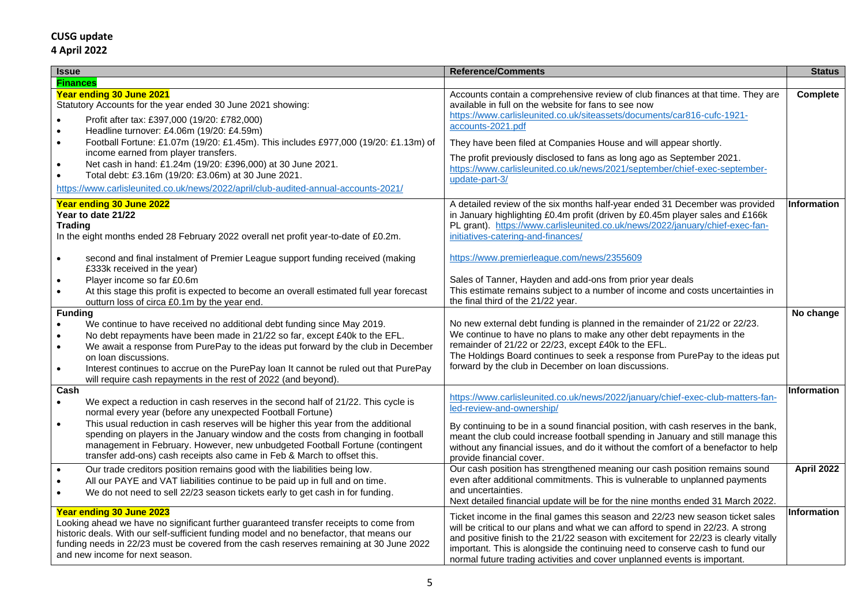| <b>Issue</b>                                                                                                                                                                                                                                                                                                                                                                                                                                                                                       | <b>Reference/Comments</b>                                                                                                                                                                                                                                                                                                                                                                                                | <b>Status</b>      |
|----------------------------------------------------------------------------------------------------------------------------------------------------------------------------------------------------------------------------------------------------------------------------------------------------------------------------------------------------------------------------------------------------------------------------------------------------------------------------------------------------|--------------------------------------------------------------------------------------------------------------------------------------------------------------------------------------------------------------------------------------------------------------------------------------------------------------------------------------------------------------------------------------------------------------------------|--------------------|
| <b>Finances</b>                                                                                                                                                                                                                                                                                                                                                                                                                                                                                    |                                                                                                                                                                                                                                                                                                                                                                                                                          |                    |
| Year ending 30 June 2021<br>Statutory Accounts for the year ended 30 June 2021 showing:<br>Profit after tax: £397,000 (19/20: £782,000)<br>$\bullet$<br>Headline turnover: £4.06m (19/20: £4.59m)<br>$\bullet$                                                                                                                                                                                                                                                                                     | Accounts contain a comprehensive review of club finances at that time. They are<br>available in full on the website for fans to see now<br>https://www.carlisleunited.co.uk/siteassets/documents/car816-cufc-1921-<br>accounts-2021.pdf                                                                                                                                                                                  | Complete           |
| Football Fortune: £1.07m (19/20: £1.45m). This includes £977,000 (19/20: £1.13m) of<br>$\bullet$                                                                                                                                                                                                                                                                                                                                                                                                   | They have been filed at Companies House and will appear shortly.                                                                                                                                                                                                                                                                                                                                                         |                    |
| income earned from player transfers.<br>Net cash in hand: £1.24m (19/20: £396,000) at 30 June 2021.<br>$\bullet$<br>Total debt: £3.16m (19/20: £3.06m) at 30 June 2021.<br>https://www.carlisleunited.co.uk/news/2022/april/club-audited-annual-accounts-2021/                                                                                                                                                                                                                                     | The profit previously disclosed to fans as long ago as September 2021.<br>https://www.carlisleunited.co.uk/news/2021/september/chief-exec-september-<br>update-part-3/                                                                                                                                                                                                                                                   |                    |
| Year ending 30 June 2022<br>Year to date 21/22<br><b>Trading</b><br>In the eight months ended 28 February 2022 overall net profit year-to-date of £0.2m.                                                                                                                                                                                                                                                                                                                                           | A detailed review of the six months half-year ended 31 December was provided<br>in January highlighting £0.4m profit (driven by £0.45m player sales and £166k<br>PL grant). https://www.carlisleunited.co.uk/news/2022/january/chief-exec-fan-<br>initiatives-catering-and-finances/                                                                                                                                     | <b>Information</b> |
| second and final instalment of Premier League support funding received (making<br>$\bullet$<br>£333k received in the year)                                                                                                                                                                                                                                                                                                                                                                         | https://www.premierleague.com/news/2355609                                                                                                                                                                                                                                                                                                                                                                               |                    |
| Player income so far £0.6m<br>$\bullet$<br>At this stage this profit is expected to become an overall estimated full year forecast<br>$\bullet$<br>outturn loss of circa £0.1m by the year end.                                                                                                                                                                                                                                                                                                    | Sales of Tanner, Hayden and add-ons from prior year deals<br>This estimate remains subject to a number of income and costs uncertainties in<br>the final third of the 21/22 year.                                                                                                                                                                                                                                        |                    |
| <b>Funding</b><br>We continue to have received no additional debt funding since May 2019.<br>$\bullet$<br>No debt repayments have been made in 21/22 so far, except £40k to the EFL.<br>$\bullet$<br>We await a response from PurePay to the ideas put forward by the club in December<br>$\bullet$<br>on loan discussions.<br>$\bullet$<br>Interest continues to accrue on the PurePay loan It cannot be ruled out that PurePay<br>will require cash repayments in the rest of 2022 (and beyond). | No new external debt funding is planned in the remainder of 21/22 or 22/23.<br>We continue to have no plans to make any other debt repayments in the<br>remainder of 21/22 or 22/23, except £40k to the EFL.<br>The Holdings Board continues to seek a response from PurePay to the ideas put<br>forward by the club in December on loan discussions.                                                                    | No change          |
| Cash<br>We expect a reduction in cash reserves in the second half of 21/22. This cycle is<br>$\bullet$<br>normal every year (before any unexpected Football Fortune)                                                                                                                                                                                                                                                                                                                               | https://www.carlisleunited.co.uk/news/2022/january/chief-exec-club-matters-fan-<br>led-review-and-ownership/                                                                                                                                                                                                                                                                                                             | <b>Information</b> |
| This usual reduction in cash reserves will be higher this year from the additional<br>$\bullet$<br>spending on players in the January window and the costs from changing in football<br>management in February. However, new unbudgeted Football Fortune (contingent<br>transfer add-ons) cash receipts also came in Feb & March to offset this.                                                                                                                                                   | By continuing to be in a sound financial position, with cash reserves in the bank,<br>meant the club could increase football spending in January and still manage this<br>without any financial issues, and do it without the comfort of a benefactor to help<br>provide financial cover.                                                                                                                                |                    |
| Our trade creditors position remains good with the liabilities being low.<br>$\bullet$<br>All our PAYE and VAT liabilities continue to be paid up in full and on time.<br>$\bullet$<br>We do not need to sell 22/23 season tickets early to get cash in for funding.                                                                                                                                                                                                                               | Our cash position has strengthened meaning our cash position remains sound<br>even after additional commitments. This is vulnerable to unplanned payments<br>and uncertainties.<br>Next detailed financial update will be for the nine months ended 31 March 2022.                                                                                                                                                       | April 2022         |
| Year ending 30 June 2023<br>Looking ahead we have no significant further guaranteed transfer receipts to come from<br>historic deals. With our self-sufficient funding model and no benefactor, that means our<br>funding needs in 22/23 must be covered from the cash reserves remaining at 30 June 2022<br>and new income for next season.                                                                                                                                                       | Ticket income in the final games this season and 22/23 new season ticket sales<br>will be critical to our plans and what we can afford to spend in 22/23. A strong<br>and positive finish to the 21/22 season with excitement for 22/23 is clearly vitally<br>important. This is alongside the continuing need to conserve cash to fund our<br>normal future trading activities and cover unplanned events is important. | <b>Information</b> |